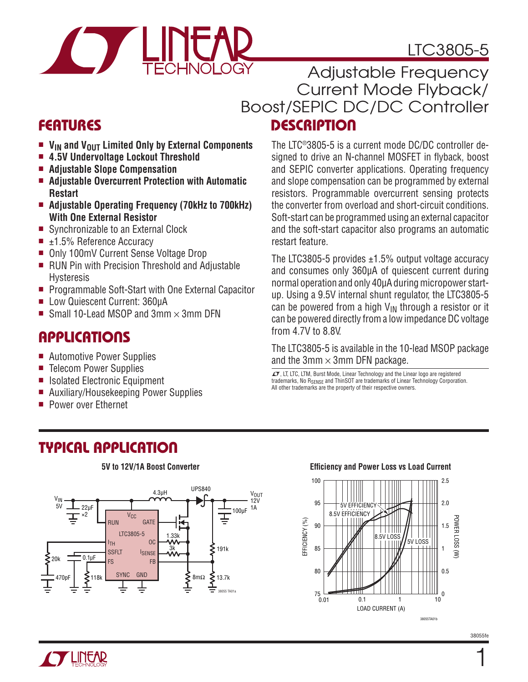# LTC3805-5



FEATURES DESCRIPTION Adjustable Frequency Current Mode Flyback/ Boost/SEPIC DC/DC Controller

- **n V<sub>IN</sub>** and **V**<sub>OUT</sub> Limited Only by External Components
- <sup>n</sup> **4.5V Undervoltage Lockout Threshold**
- <sup>n</sup> **Adjustable Slope Compensation**
- Adjustable Overcurrent Protection with Automatic **Restart**
- Adjustable Operating Frequency (70kHz to 700kHz) **With One External Resistor**
- Synchronizable to an External Clock
- $\blacksquare$  ±1.5% Reference Accuracy
- Only 100mV Current Sense Voltage Drop
- RUN Pin with Precision Threshold and Adjustable Hysteresis
- Programmable Soft-Start with One External Capacitor
- Low Quiescent Current: 360uA
- Small 10-Lead MSOP and 3mm  $\times$  3mm DFN

### **APPLICATIONS**

- Automotive Power Supplies
- Telecom Power Supplies
- Isolated Electronic Equipment
- Auxiliary/Housekeeping Power Supplies
- **Power over Ethernet**

The LTC®3805-5 is a current mode DC/DC controller designed to drive an N-channel MOSFET in flyback, boost and SEPIC converter applications. Operating frequency and slope compensation can be programmed by external resistors. Programmable overcurrent sensing protects the converter from overload and short-circuit conditions. Soft-start can be programmed using an external capacitor and the soft-start capacitor also programs an automatic restart feature.

The LTC3805-5 provides  $\pm$ 1.5% output voltage accuracy and consumes only 360µA of quiescent current during normal operation and only 40µA during micropower startup. Using a 9.5V internal shunt regulator, the LTC3805-5 can be powered from a high  $V_{IN}$  through a resistor or it can be powered directly from a low impedance DC voltage from 4.7V to 8.8V.

The LTC3805-5 is available in the 10-lead MSOP package and the 3mm  $\times$  3mm DFN package.

 $LT$ , LT, LTC, LTM, Burst Mode, Linear Technology and the Linear logo are registered trademarks, No RSENSE and ThinSOT are trademarks of Linear Technology Corporation. All other trademarks are the property of their respective owners.

## TYPICAL APPLICATION

### **5V to 12V/1A Boost Converter**



#### **Efficiency and Power Loss vs Load Current**





1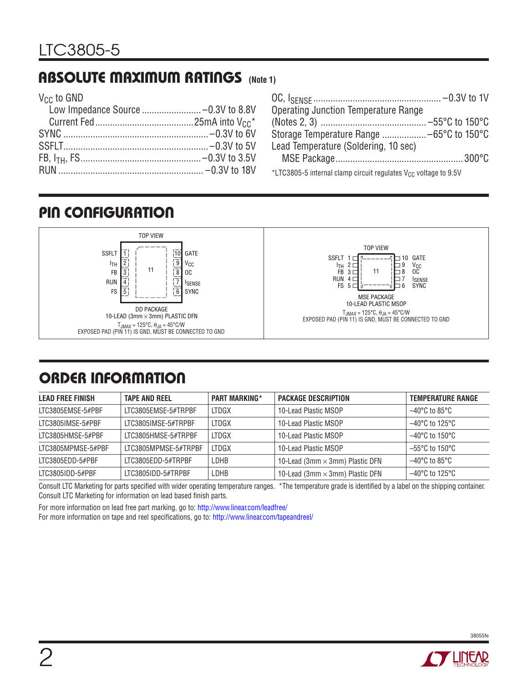## ABSOLUTE MAXIMUM RATINGS **(Note 1)**

V<sub>CC</sub> to GND

| <b>Operating Junction Temperature Range</b>                                 |
|-----------------------------------------------------------------------------|
|                                                                             |
|                                                                             |
| Lead Temperature (Soldering, 10 sec)                                        |
|                                                                             |
| *LTC3805-5 internal clamp circuit regulates V <sub>CC</sub> voltage to 9.5V |

## PIN CONFIGURATION



# ORDER INFORMATION

| <b>LEAD FREE FINISH</b> | <b>TAPE AND REEL</b> | <b>PART MARKING*</b> | <b>PACKAGE DESCRIPTION</b>             | <b>TEMPERATURE RANGE</b>            |
|-------------------------|----------------------|----------------------|----------------------------------------|-------------------------------------|
| ITC3805FMSF-5#PBF       | ITC3805FMSF-5#TRPBF  | <b>LTDGX</b>         | 10-Lead Plastic MSOP                   | $-40^{\circ}$ C to 85°C             |
| LTC3805IMSE-5#PBF       | LTC3805IMSE-5#TRPBF  | <b>LTDGX</b>         | 10-Lead Plastic MSOP                   | $-40^{\circ}$ C to 125 $^{\circ}$ C |
| LTC3805HMSE-5#PBF       | LTC3805HMSE-5#TRPBF  | LTDGX                | 10-Lead Plastic MSOP                   | $-40^{\circ}$ C to 150 $^{\circ}$ C |
| LTC3805MPMSE-5#PBF      | LTC3805MPMSE-5#TRPBF | <b>LTDGX</b>         | 10-Lead Plastic MSOP                   | $-55^{\circ}$ C to 150 $^{\circ}$ C |
| LTC3805EDD-5#PBF        | ITC3805FDD-5#TRPBF   | LDHB                 | 10-Lead (3mm $\times$ 3mm) Plastic DFN | $-40^{\circ}$ C to 85°C             |
| LTC3805IDD-5#PBF        | LTC3805IDD-5#TRPBF   | LDHB                 | 10-Lead (3mm $\times$ 3mm) Plastic DFN | $-40^{\circ}$ C to 125 $^{\circ}$ C |

Consult LTC Marketing for parts specified with wider operating temperature ranges. \*The temperature grade is identified by a label on the shipping container. Consult LTC Marketing for information on lead based finish parts.

For more information on lead free part marking, go to: http://www.linear.com/leadfree/

For more information on tape and reel specifications, go to: http://www.linear.com/tapeandreel/

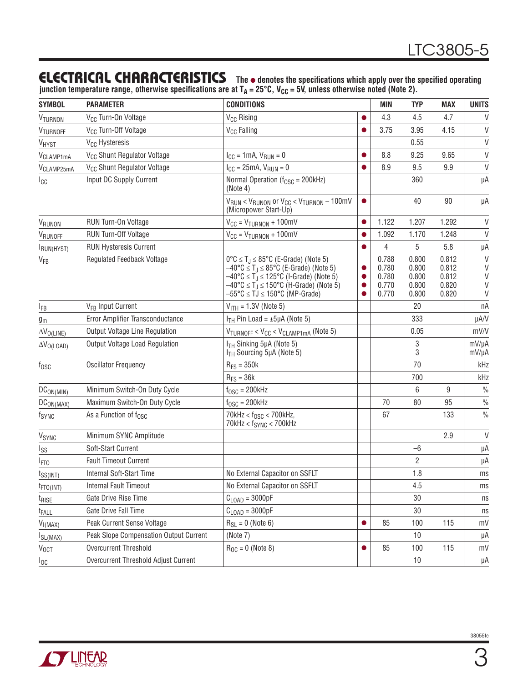### **ELECTRICAL CHARACTERISTICS** The  $\bullet$  denotes the specifications which apply over the specified operating

junction temperature range, otherwise specifications are at T<sub>A</sub> = 25°C, V<sub>CC</sub> = 5V, unless otherwise noted (Note 2).

| <b>SYMBOL</b>           | <b>PARAMETER</b>                        | <b>CONDITIONS</b>                                                                                                                                                                                                                                                                                                                        |                                     | <b>MIN</b>                                | <b>TYP</b>                                | <b>MAX</b>                                | <b>UNITS</b>                          |
|-------------------------|-----------------------------------------|------------------------------------------------------------------------------------------------------------------------------------------------------------------------------------------------------------------------------------------------------------------------------------------------------------------------------------------|-------------------------------------|-------------------------------------------|-------------------------------------------|-------------------------------------------|---------------------------------------|
| VTURNON                 | V <sub>CC</sub> Turn-On Voltage         | V <sub>CC</sub> Rising                                                                                                                                                                                                                                                                                                                   | $\bullet$                           | 4.3                                       | 4.5                                       | 4.7                                       | $\mathsf{V}$                          |
| VTURNOFF                | V <sub>CC</sub> Turn-Off Voltage        | V <sub>CC</sub> Falling                                                                                                                                                                                                                                                                                                                  | $\bullet$                           | 3.75                                      | 3.95                                      | 4.15                                      | $\mathsf{V}$                          |
| VHYST                   | V <sub>CC</sub> Hysteresis              |                                                                                                                                                                                                                                                                                                                                          |                                     |                                           | 0.55                                      |                                           | $\vee$                                |
| V <sub>CLAMP1mA</sub>   | V <sub>CC</sub> Shunt Regulator Voltage | $I_{CC} = 1mA, V_{RUN} = 0$                                                                                                                                                                                                                                                                                                              | $\bullet$                           | 8.8                                       | 9.25                                      | 9.65                                      | $\vee$                                |
| V <sub>CLAMP25mA</sub>  | V <sub>CC</sub> Shunt Regulator Voltage | $I_{CC} = 25mA, V_{RUN} = 0$                                                                                                                                                                                                                                                                                                             |                                     | 8.9                                       | 9.5                                       | 9.9                                       | $\mathsf{V}$                          |
| Icc                     | Input DC Supply Current                 | Normal Operation ( $f_{\text{OSC}}$ = 200kHz)<br>(Note 4)                                                                                                                                                                                                                                                                                |                                     |                                           | 360                                       |                                           | μA                                    |
|                         |                                         | $V_{RUN}$ < $V_{RUNON}$ or $V_{CC}$ < $V_{TURNON}$ – 100mV<br>(Micropower Start-Up)                                                                                                                                                                                                                                                      | $\bullet$                           |                                           | 40                                        | 90                                        | μA                                    |
| VRUNON                  | RUN Turn-On Voltage                     | $V_{CC} = V_{TURNON} + 100mV$                                                                                                                                                                                                                                                                                                            | $\bullet$                           | 1.122                                     | 1.207                                     | 1.292                                     | $\vee$                                |
| VRUNOFF                 | RUN Turn-Off Voltage                    | $V_{CC} = V_{TURNON} + 100mV$                                                                                                                                                                                                                                                                                                            |                                     | 1.092                                     | 1.170                                     | 1.248                                     | $\mathsf{V}$                          |
| IRUN(HYST)              | <b>RUN Hysteresis Current</b>           |                                                                                                                                                                                                                                                                                                                                          | $\bullet$                           | 4                                         | 5                                         | 5.8                                       | μA                                    |
| $V_{FB}$                | <b>Regulated Feedback Voltage</b>       | $0^{\circ}C \leq T_J \leq 85^{\circ}C$ (E-Grade) (Note 5)<br>$-40^{\circ}$ C $\leq$ T <sub>J</sub> $\leq$ 85°C (E-Grade) (Note 5)<br>$-40^{\circ}$ C $\leq$ T <sub>J</sub> $\leq$ 125°C (I-Grade) (Note 5)<br>$-40^{\circ}$ C $\leq$ T <sub>J</sub> $\leq$ 150°C (H-Grade) (Note 5)<br>$-55^{\circ}$ C $\leq$ TJ $\leq$ 150°C (MP-Grade) | $\bullet$<br>$\bullet$<br>$\bullet$ | 0.788<br>0.780<br>0.780<br>0.770<br>0.770 | 0.800<br>0.800<br>0.800<br>0.800<br>0.800 | 0.812<br>0.812<br>0.812<br>0.820<br>0.820 | $\mathsf{V}$<br>$\vee$<br>V<br>V<br>V |
| <b>IFB</b>              | V <sub>FR</sub> Input Current           | $V_{ITH} = 1.3V$ (Note 5)                                                                                                                                                                                                                                                                                                                |                                     |                                           | 20                                        |                                           | nA                                    |
| $g_m$                   | Error Amplifier Transconductance        | $I_{TH}$ Pin Load = $\pm 5\mu$ A (Note 5)                                                                                                                                                                                                                                                                                                |                                     |                                           | 333                                       |                                           | µA/V                                  |
| $\Delta V_{O(LINE)}$    | Output Voltage Line Regulation          | $V_{TURNOFF}$ < $V_{CC}$ < $V_{CLAMP1mA}$ (Note 5)                                                                                                                                                                                                                                                                                       |                                     |                                           | 0.05                                      |                                           | mV/V                                  |
| $\Delta V_{O(LOAD)}$    | Output Voltage Load Regulation          | I <sub>TH</sub> Sinking 5µA (Note 5)<br>I <sub>TH</sub> Sourcing 5µA (Note 5)                                                                                                                                                                                                                                                            |                                     |                                           | 3<br>3                                    |                                           | mV/µA<br>mV/µA                        |
| $f_{\rm OSC}$           | <b>Oscillator Frequency</b>             | $R_{FS} = 350k$                                                                                                                                                                                                                                                                                                                          |                                     |                                           | 70                                        |                                           | kHz                                   |
|                         |                                         | $R_{FS} = 36k$                                                                                                                                                                                                                                                                                                                           |                                     |                                           | 700                                       |                                           | kHz                                   |
| DC <sub>ON(MIN)</sub>   | Minimum Switch-On Duty Cycle            | $f_{\text{OSC}} = 200$ kHz                                                                                                                                                                                                                                                                                                               |                                     |                                           | 6                                         | 9                                         | $\frac{0}{0}$                         |
| DC <sub>ON(MAX)</sub>   | Maximum Switch-On Duty Cycle            | $f_{\text{OSC}} = 200$ kHz                                                                                                                                                                                                                                                                                                               |                                     | 70                                        | 80                                        | 95                                        | $\%$                                  |
| fsync                   | As a Function of f <sub>OSC</sub>       | 70kHz < $f_{OSC}$ < 700kHz,<br>$70$ kHz < $f_{SYNC}$ < $700$ kHz                                                                                                                                                                                                                                                                         |                                     | 67                                        |                                           | 133                                       | $\frac{0}{0}$                         |
| <b>V<sub>SYNC</sub></b> | Minimum SYNC Amplitude                  |                                                                                                                                                                                                                                                                                                                                          |                                     |                                           |                                           | 2.9                                       | V                                     |
| Iss                     | Soft-Start Current                      |                                                                                                                                                                                                                                                                                                                                          |                                     |                                           | $-6$                                      |                                           | μA                                    |
| <sup>I</sup> FTO        | <b>Fault Timeout Current</b>            |                                                                                                                                                                                                                                                                                                                                          |                                     |                                           | $\overline{2}$                            |                                           | μA                                    |
| $t_{SS(INT)}$           | Internal Soft-Start Time                | No External Capacitor on SSFLT                                                                                                                                                                                                                                                                                                           |                                     |                                           | 1.8                                       |                                           | ms                                    |
| $t_{FTO(INT)}$          | <b>Internal Fault Timeout</b>           | No External Capacitor on SSFLT                                                                                                                                                                                                                                                                                                           |                                     |                                           | 4.5                                       |                                           | ms                                    |
| t <sub>rise</sub>       | Gate Drive Rise Time                    | $C_{\text{LOAD}} = 3000pF$                                                                                                                                                                                                                                                                                                               |                                     |                                           | 30                                        |                                           | ns                                    |
| t <sub>FALL</sub>       | Gate Drive Fall Time                    | $C_{\text{LOAD}} = 3000pF$                                                                                                                                                                                                                                                                                                               |                                     |                                           | 30                                        |                                           | ns                                    |
| $V_{I(MAX)}$            | Peak Current Sense Voltage              | $R_{SL} = 0$ (Note 6)                                                                                                                                                                                                                                                                                                                    | $\bullet$                           | 85                                        | 100                                       | 115                                       | mV                                    |
| $I_{SL(MAX)}$           | Peak Slope Compensation Output Current  | (Note 7)                                                                                                                                                                                                                                                                                                                                 |                                     |                                           | 10                                        |                                           | μA                                    |
| $V_{0CT}$               | Overcurrent Threshold                   | $R_{OC} = 0$ (Note 8)                                                                                                                                                                                                                                                                                                                    | $\bullet$                           | 85                                        | 100                                       | 115                                       | mV                                    |
| $I_{0C}$                | Overcurrent Threshold Adjust Current    |                                                                                                                                                                                                                                                                                                                                          |                                     |                                           | 10                                        |                                           | μA                                    |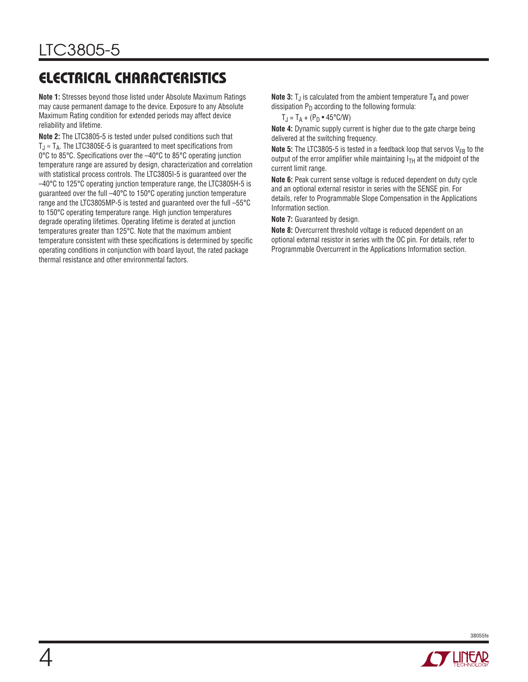# ELECTRICAL CHARACTERISTICS

**Note 1:** Stresses beyond those listed under Absolute Maximum Ratings may cause permanent damage to the device. Exposure to any Absolute Maximum Rating condition for extended periods may affect device reliability and lifetime.

**Note 2:** The LTC3805-5 is tested under pulsed conditions such that  $T_J \approx T_A$ . The LTC3805E-5 is guaranteed to meet specifications from 0°C to 85°C. Specifications over the –40°C to 85°C operating junction temperature range are assured by design, characterization and correlation with statistical process controls. The LTC3805I-5 is guaranteed over the –40°C to 125°C operating junction temperature range, the LTC3805H-5 is guaranteed over the full –40°C to 150°C operating junction temperature range and the LTC3805MP-5 is tested and guaranteed over the full –55°C to 150°C operating temperature range. High junction temperatures degrade operating lifetimes. Operating lifetime is derated at junction temperatures greater than 125°C. Note that the maximum ambient temperature consistent with these specifications is determined by specific operating conditions in conjunction with board layout, the rated package thermal resistance and other environmental factors.

**Note 3:**  $T_J$  is calculated from the ambient temperature  $T_A$  and power dissipation  $P_D$  according to the following formula:

 $T_J = T_A + (P_D \cdot 45^{\circ} C/W)$ 

**Note 4:** Dynamic supply current is higher due to the gate charge being delivered at the switching frequency.

**Note 5:** The LTC3805-5 is tested in a feedback loop that servos  $V_{FB}$  to the output of the error amplifier while maintaining  $I_{TH}$  at the midpoint of the current limit range.

**Note 6:** Peak current sense voltage is reduced dependent on duty cycle and an optional external resistor in series with the SENSE pin. For details, refer to Programmable Slope Compensation in the Applications Information section.

**Note 7:** Guaranteed by design.

**Note 8:** Overcurrent threshold voltage is reduced dependent on an optional external resistor in series with the OC pin. For details, refer to Programmable Overcurrent in the Applications Information section.



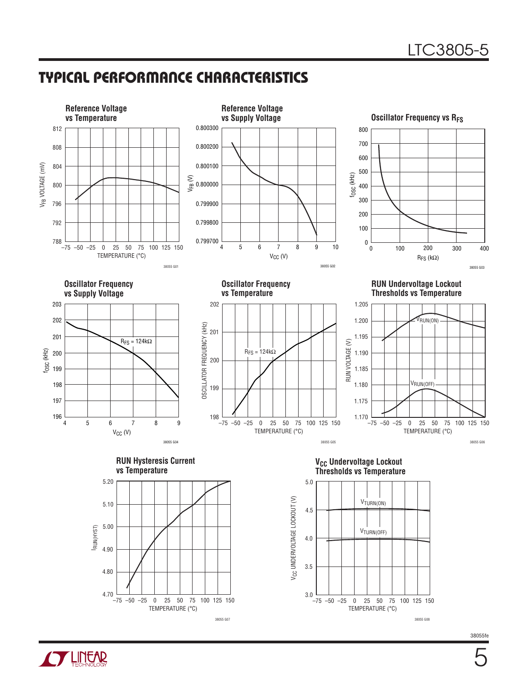### TYPICAL PERFORMANCE CHARACTERISTICS



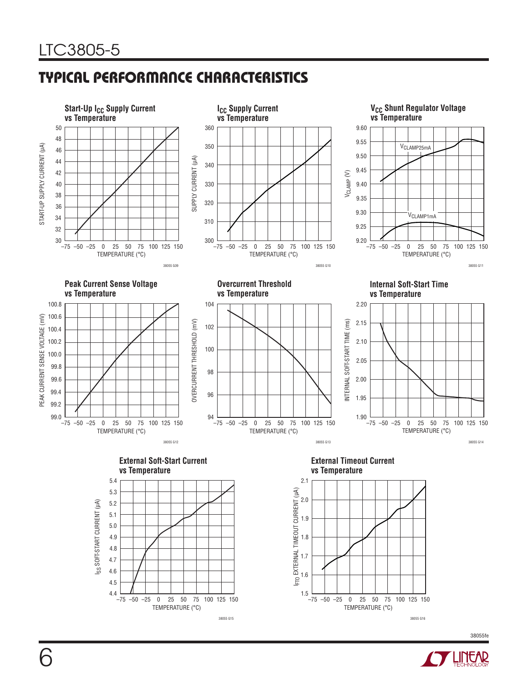# TYPICAL PERFORMANCE CHARACTERISTICS



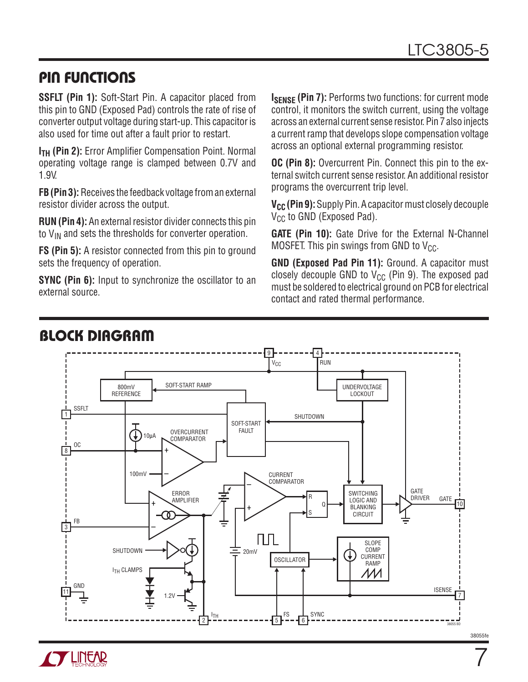### PIN FUNCTIONS

**SSFLT (Pin 1):** Soft-Start Pin. A capacitor placed from this pin to GND (Exposed Pad) controls the rate of rise of converter output voltage during start-up. This capacitor is also used for time out after a fault prior to restart.

**I<sub>TH</sub>** (Pin 2): Error Amplifier Compensation Point. Normal operating voltage range is clamped between 0.7V and 1.9V.

**FB (Pin 3):** Receives the feedback voltage from an external resistor divider across the output.

**RUN (Pin 4):** An external resistor divider connects this pin to  $V_{IN}$  and sets the thresholds for converter operation.

**FS (Pin 5):** A resistor connected from this pin to ground sets the frequency of operation.

**SYNC (Pin 6):** Input to synchronize the oscillator to an external source.

**ISENSE (Pin 7): Performs two functions: for current mode** control, it monitors the switch current, using the voltage across an external current sense resistor. Pin 7 also injects a current ramp that develops slope compensation voltage across an optional external programming resistor.

**OC (Pin 8):** Overcurrent Pin. Connect this pin to the external switch current sense resistor. An additional resistor programs the overcurrent trip level.

**V<sub>CC</sub>** (Pin 9): Supply Pin. A capacitor must closely decouple  $V_{CC}$  to GND (Exposed Pad).

**GATE (Pin 10):** Gate Drive for the External N-Channel MOSFET. This pin swings from GND to  $V_{CC}$ .

**GND (Exposed Pad Pin 11):** Ground. A capacitor must closely decouple GND to  $V_{CC}$  (Pin 9). The exposed pad must be soldered to electrical ground on PCB for electrical contact and rated thermal performance.





7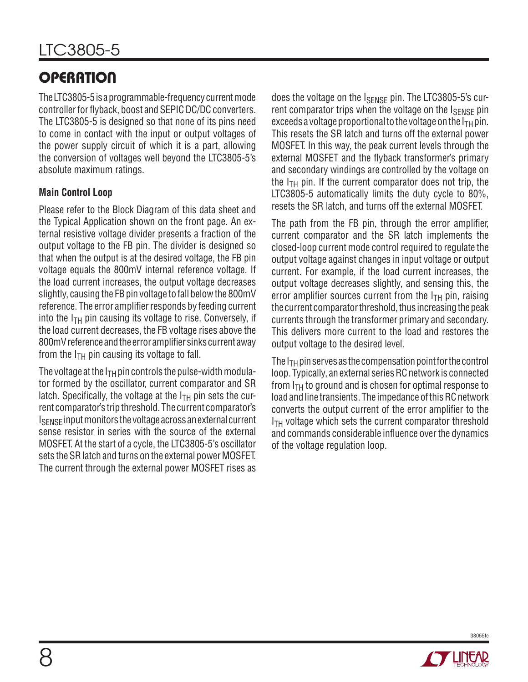# **OPERATION**

The LTC3805-5 is a programmable-frequency current mode controller for flyback, boost and SEPIC DC/DC converters. The LTC3805-5 is designed so that none of its pins need to come in contact with the input or output voltages of the power supply circuit of which it is a part, allowing the conversion of voltages well beyond the LTC3805-5's absolute maximum ratings.

#### **Main Control Loop**

Please refer to the Block Diagram of this data sheet and the Typical Application shown on the front page. An external resistive voltage divider presents a fraction of the output voltage to the FB pin. The divider is designed so that when the output is at the desired voltage, the FB pin voltage equals the 800mV internal reference voltage. If the load current increases, the output voltage decreases slightly, causing the FB pin voltage to fall below the 800mV reference. The error amplifier responds by feeding current into the  $I_{TH}$  pin causing its voltage to rise. Conversely, if the load current decreases, the FB voltage rises above the 800mV reference and the error amplifier sinks current away from the  $I<sub>TH</sub>$  pin causing its voltage to fall.

The voltage at the  $I<sub>TH</sub>$  pin controls the pulse-width modulator formed by the oscillator, current comparator and SR latch. Specifically, the voltage at the  $I<sub>TH</sub>$  pin sets the current comparator's trip threshold. The current comparator's I<sub>SENSE</sub> input monitors the voltage across an external current sense resistor in series with the source of the external MOSFET. At the start of a cycle, the LTC3805-5's oscillator sets the SR latch and turns on the external power MOSFET. The current through the external power MOSFET rises as does the voltage on the I<sub>SENSE</sub> pin. The LTC3805-5's current comparator trips when the voltage on the ISENSE pin exceeds a voltage proportional to the voltage on the  $I_{TH}$  pin. This resets the SR latch and turns off the external power MOSFET. In this way, the peak current levels through the external MOSFET and the flyback transformer's primary and secondary windings are controlled by the voltage on the  $I_{TH}$  pin. If the current comparator does not trip, the LTC3805-5 automatically limits the duty cycle to 80%, resets the SR latch, and turns off the external MOSFET.

The path from the FB pin, through the error amplifier, current comparator and the SR latch implements the closed-loop current mode control required to regulate the output voltage against changes in input voltage or output current. For example, if the load current increases, the output voltage decreases slightly, and sensing this, the error amplifier sources current from the  $I<sub>TH</sub>$  pin, raising the current comparator threshold, thus increasing the peak currents through the transformer primary and secondary. This delivers more current to the load and restores the output voltage to the desired level.

The  $I<sub>TH</sub>$  pin serves as the compensation point for the control loop. Typically, an external series RC network is connected from  $I_{TH}$  to ground and is chosen for optimal response to load and line transients. The impedance of this RC network converts the output current of the error amplifier to the  $I<sub>TH</sub>$  voltage which sets the current comparator threshold and commands considerable influence over the dynamics of the voltage regulation loop.

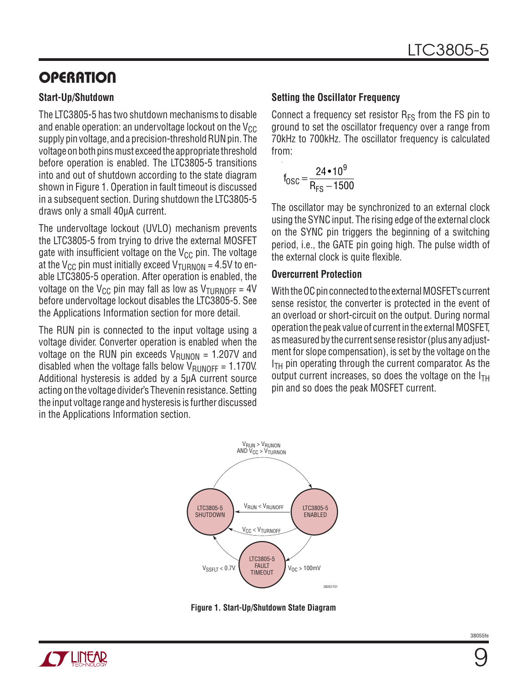# **OPERATION**

#### **Start-Up/Shutdown**

The LTC3805-5 has two shutdown mechanisms to disable and enable operation: an undervoltage lockout on the  $V_{CC}$ supply pin voltage, and a precision-threshold RUN pin. The voltage on both pins must exceed the appropriate threshold before operation is enabled. The LTC3805-5 transitions into and out of shutdown according to the state diagram shown in Figure 1. Operation in fault timeout is discussed in a subsequent section. During shutdown the LTC3805-5 draws only a small 40µA current.

The undervoltage lockout (UVLO) mechanism prevents the LTC3805-5 from trying to drive the external MOSFET gate with insufficient voltage on the  $V_{CC}$  pin. The voltage at the V<sub>CC</sub> pin must initially exceed V<sub>TURNON</sub> = 4.5V to enable LTC3805-5 operation. After operation is enabled, the voltage on the V<sub>CC</sub> pin may fall as low as V<sub>TURNOFF</sub> = 4V before undervoltage lockout disables the LTC3805-5. See the Applications Information section for more detail.

The RUN pin is connected to the input voltage using a voltage divider. Converter operation is enabled when the voltage on the RUN pin exceeds  $V_{\text{RUNON}} = 1.207V$  and disabled when the voltage falls below  $V_{\text{RIINOFF}} = 1.170V$ . Additional hysteresis is added by a 5µA current source acting on the voltage divider's Thevenin resistance. Setting the input voltage range and hysteresis is further discussed in the Applications Information section.

#### **Setting the Oscillator Frequency**

Connect a frequency set resistor  $R_{FS}$  from the FS pin to ground to set the oscillator frequency over a range from 70kHz to 700kHz. The oscillator frequency is calculated from:

$$
f_{\rm OSC} = \frac{24 \cdot 10^9}{R_{\rm FS} - 1500}
$$

The oscillator may be synchronized to an external clock using the SYNC input. The rising edge of the external clock on the SYNC pin triggers the beginning of a switching period, i.e., the GATE pin going high. The pulse width of the external clock is quite flexible.

#### **Overcurrent Protection**

With the OC pin connected to the external MOSFET's current sense resistor, the converter is protected in the event of an overload or short-circuit on the output. During normal operation the peak value of current in the external MOSFET, as measured by the current sense resistor (plus any adjustment for slope compensation), is set by the voltage on the  $I<sub>TH</sub>$  pin operating through the current comparator. As the output current increases, so does the voltage on the  $I_{TH}$ pin and so does the peak MOSFET current.



**Figure 1. Start-Up/Shutdown State Diagram**

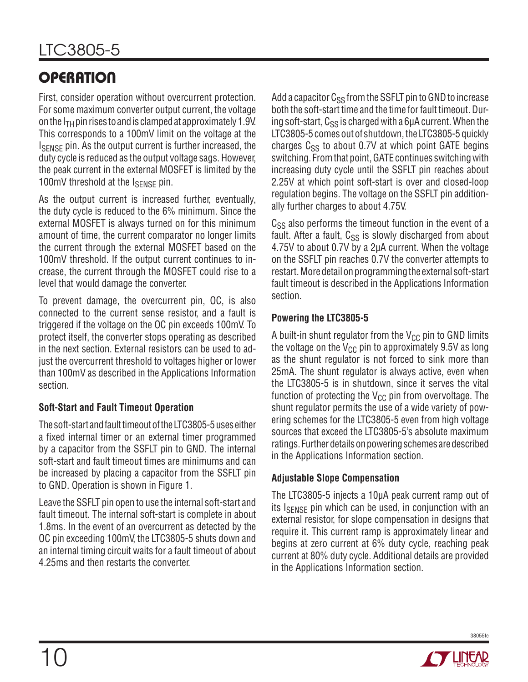# **OPERATION**

First, consider operation without overcurrent protection. For some maximum converter output current, the voltage on the  $I_{TH}$  pin rises to and is clamped at approximately 1.9V. This corresponds to a 100mV limit on the voltage at the I<sub>SENSE</sub> pin. As the output current is further increased, the duty cycle is reduced as the output voltage sags. However, the peak current in the external MOSFET is limited by the 100mV threshold at the  $I_{\text{SENSE}}$  pin.

As the output current is increased further, eventually, the duty cycle is reduced to the 6% minimum. Since the external MOSFET is always turned on for this minimum amount of time, the current comparator no longer limits the current through the external MOSFET based on the 100mV threshold. If the output current continues to increase, the current through the MOSFET could rise to a level that would damage the converter.

To prevent damage, the overcurrent pin, OC, is also connected to the current sense resistor, and a fault is triggered if the voltage on the OC pin exceeds 100mV. To protect itself, the converter stops operating as described in the next section. External resistors can be used to adjust the overcurrent threshold to voltages higher or lower than 100mV as described in the Applications Information section.

#### **Soft-Start and Fault Timeout Operation**

The soft-start and fault timeout of the LTC3805-5 uses either a fixed internal timer or an external timer programmed by a capacitor from the SSFLT pin to GND. The internal soft-start and fault timeout times are minimums and can be increased by placing a capacitor from the SSFLT pin to GND. Operation is shown in Figure 1.

Leave the SSFLT pin open to use the internal soft-start and fault timeout. The internal soft-start is complete in about 1.8ms. In the event of an overcurrent as detected by the OC pin exceeding 100mV, the LTC3805-5 shuts down and an internal timing circuit waits for a fault timeout of about 4.25ms and then restarts the converter.

Add a capacitor  $C_{SS}$  from the SSFLT pin to GND to increase both the soft-start time and the time for fault timeout. During soft-start,  $C_{SS}$  is charged with a 6 $\mu$ A current. When the LTC3805-5 comes out of shutdown, the LTC3805-5 quickly charges  $C_{SS}$  to about 0.7V at which point GATE begins switching. From that point, GATE continues switching with increasing duty cycle until the SSFLT pin reaches about 2.25V at which point soft-start is over and closed-loop regulation begins. The voltage on the SSFLT pin additionally further charges to about 4.75V.

 $C_{SS}$  also performs the timeout function in the event of a fault. After a fault,  $C_{SS}$  is slowly discharged from about 4.75V to about 0.7V by a 2µA current. When the voltage on the SSFLT pin reaches 0.7V the converter attempts to restart. More detail on programming the external soft-start fault timeout is described in the Applications Information section.

#### **Powering the LTC3805-5**

A built-in shunt regulator from the  $V_{CC}$  pin to GND limits the voltage on the  $V_{CC}$  pin to approximately 9.5V as long as the shunt regulator is not forced to sink more than 25mA. The shunt regulator is always active, even when the LTC3805-5 is in shutdown, since it serves the vital function of protecting the  $V_{CC}$  pin from overvoltage. The shunt regulator permits the use of a wide variety of powering schemes for the LTC3805-5 even from high voltage sources that exceed the LTC3805-5's absolute maximum ratings. Further details on powering schemes are described in the Applications Information section.

#### **Adjustable Slope Compensation**

The LTC3805-5 injects a 10µA peak current ramp out of its  $I_{\text{SENSE}}$  pin which can be used, in conjunction with an external resistor, for slope compensation in designs that require it. This current ramp is approximately linear and begins at zero current at 6% duty cycle, reaching peak current at 80% duty cycle. Additional details are provided in the Applications Information section.

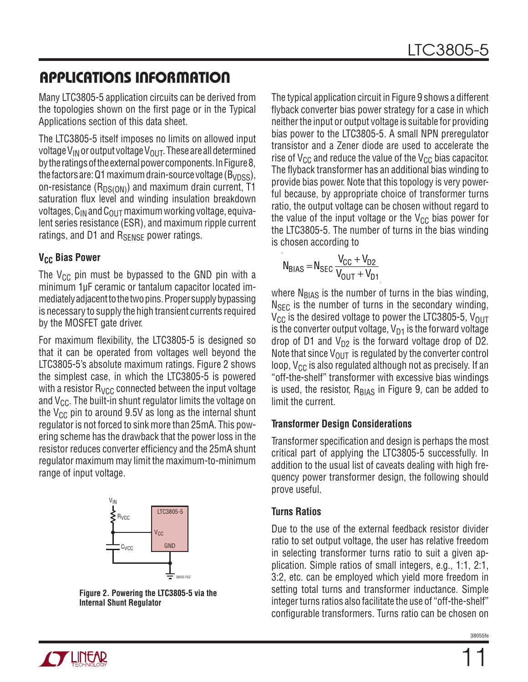Many LTC3805-5 application circuits can be derived from the topologies shown on the first page or in the Typical Applications section of this data sheet.

The LTC3805-5 itself imposes no limits on allowed input voltage V<sub>IN</sub> or output voltage V<sub>OUT</sub>. These are all determined by the ratings of the external power components. In Figure 8, the factors are: Q1 maximum drain-source voltage ( $B_{VDSS}$ ), on-resistance ( $R_{DS(ON)}$ ) and maximum drain current, T1 saturation flux level and winding insulation breakdown voltages,  $C_{IN}$  and  $C_{OUIT}$  maximum working voltage, equivalent series resistance (ESR), and maximum ripple current ratings, and D1 and  $R_{\text{SFNSF}}$  power ratings.

#### **V<sub>CC</sub>** Bias Power

The  $V_{CC}$  pin must be bypassed to the GND pin with a minimum 1µF ceramic or tantalum capacitor located immediately adjacent to the two pins. Proper supply bypassing is necessary to supply the high transient currents required by the MOSFET gate driver.

For maximum flexibility, the LTC3805-5 is designed so that it can be operated from voltages well beyond the LTC3805-5's absolute maximum ratings. Figure 2 shows the simplest case, in which the LTC3805-5 is powered with a resistor  $R_{VCC}$  connected between the input voltage and  $V_{CC}$ . The built-in shunt regulator limits the voltage on the  $V_{CC}$  pin to around 9.5V as long as the internal shunt regulator is not forced to sink more than 25mA. This powering scheme has the drawback that the power loss in the resistor reduces converter efficiency and the 25mA shunt regulator maximum may limit the maximum-to-minimum range of input voltage.



**Figure 2. Powering the LTC3805-5 via the Internal Shunt Regulator**

The typical application circuit in Figure 9 shows a different flyback converter bias power strategy for a case in which neither the input or output voltage is suitable for providing bias power to the LTC3805-5. A small NPN preregulator transistor and a Zener diode are used to accelerate the rise of  $V_{CC}$  and reduce the value of the  $V_{CC}$  bias capacitor. The flyback transformer has an additional bias winding to provide bias power. Note that this topology is very powerful because, by appropriate choice of transformer turns ratio, the output voltage can be chosen without regard to the value of the input voltage or the  $V_{CC}$  bias power for the LTC3805-5. The number of turns in the bias winding is chosen according to

$$
N_{BIAS} = N_{SEC} \frac{V_{CC} + V_{D2}}{V_{OUT} + V_{D1}}
$$

where  $N<sub>BIAS</sub>$  is the number of turns in the bias winding,  $N<sub>SEC</sub>$  is the number of turns in the secondary winding,  $V_{\text{CC}}$  is the desired voltage to power the LTC3805-5,  $V_{\text{OUT}}$ is the converter output voltage,  $V_{D1}$  is the forward voltage drop of D1 and  $V_{D2}$  is the forward voltage drop of D2. Note that since  $V_{\text{OUT}}$  is regulated by the converter control loop,  $V_{\text{CC}}$  is also regulated although not as precisely. If an "off-the-shelf" transformer with excessive bias windings is used, the resistor,  $R<sub>BIAS</sub>$  in Figure 9, can be added to limit the current.

#### **Transformer Design Considerations**

Transformer specification and design is perhaps the most critical part of applying the LTC3805-5 successfully. In addition to the usual list of caveats dealing with high frequency power transformer design, the following should prove useful.

#### **Turns Ratios**

Due to the use of the external feedback resistor divider ratio to set output voltage, the user has relative freedom in selecting transformer turns ratio to suit a given application. Simple ratios of small integers, e.g., 1:1, 2:1, 3:2, etc. can be employed which yield more freedom in setting total turns and transformer inductance. Simple integer turns ratios also facilitate the use of "off-the-shelf" configurable transformers. Turns ratio can be chosen on

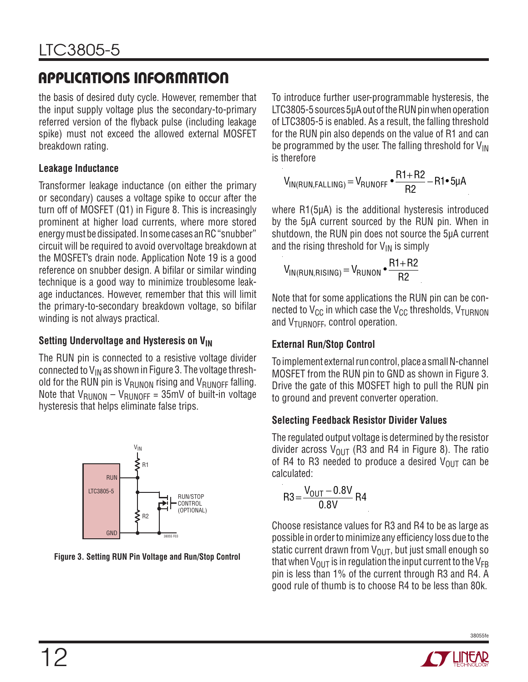the basis of desired duty cycle. However, remember that the input supply voltage plus the secondary-to-primary referred version of the flyback pulse (including leakage spike) must not exceed the allowed external MOSFET breakdown rating.

#### **Leakage Inductance**

Transformer leakage inductance (on either the primary or secondary) causes a voltage spike to occur after the turn off of MOSFET (Q1) in Figure 8. This is increasingly prominent at higher load currents, where more stored energy must be dissipated. In some cases an RC "snubber" circuit will be required to avoid overvoltage breakdown at the MOSFET's drain node. Application Note 19 is a good reference on snubber design. A bifilar or similar winding technique is a good way to minimize troublesome leakage inductances. However, remember that this will limit the primary-to-secondary breakdown voltage, so bifilar winding is not always practical.

### **Setting Undervoltage and Hysteresis on VIN**

The RUN pin is connected to a resistive voltage divider connected to  $V_{IN}$  as shown in Figure 3. The voltage threshold for the RUN pin is  $V_{\text{RUNON}}$  rising and  $V_{\text{RUNOFF}}$  falling. Note that  $V_{\text{RUNON}} - V_{\text{RUNOFF}} = 35 \text{mV}$  of built-in voltage hysteresis that helps eliminate false trips.



**Figure 3. Setting RUN Pin Voltage and Run/Stop Control**

To introduce further user-programmable hysteresis, the LTC3805-5 sources 5µA out of the RUN pin when operation of LTC3805-5 is enabled. As a result, the falling threshold for the RUN pin also depends on the value of R1 and can be programmed by the user. The falling threshold for  $V_{IN}$ is therefore

$$
V_{IN(RUN, FALLING)} = V_{RUNOFF} \cdot \frac{R1 + R2}{R2} - R1 \cdot 5 \mu A
$$

where R1(5µA) is the additional hysteresis introduced by the 5µA current sourced by the RUN pin. When in shutdown, the RUN pin does not source the 5µA current and the rising threshold for  $V_{IN}$  is simply

$$
V_{IN(RUN,RISING)} = V_{RUNON} \cdot \frac{R1 + R2}{R2}
$$

Note that for some applications the RUN pin can be connected to  $V_{CC}$  in which case the  $V_{CC}$  thresholds,  $V_{TURNON}$ and V<sub>TURNOFF</sub>, control operation.

### **External Run/Stop Control**

To implement external run control, place a small N-channel MOSFET from the RUN pin to GND as shown in Figure 3. Drive the gate of this MOSFET high to pull the RUN pin to ground and prevent converter operation.

#### **Selecting Feedback Resistor Divider Values**

The regulated output voltage is determined by the resistor divider across  $V_{\text{OUT}}$  (R3 and R4 in Figure 8). The ratio of R4 to R3 needed to produce a desired  $V_{\text{OUT}}$  can be calculated:

$$
R3 = \frac{V_{OUT} - 0.8V}{0.8V} R4
$$

Choose resistance values for R3 and R4 to be as large as possible in order to minimize any efficiency loss due to the static current drawn from  $V_{OUT}$ , but just small enough so that when  $V_{\text{OUT}}$  is in regulation the input current to the  $V_{\text{FB}}$ pin is less than 1% of the current through R3 and R4. A good rule of thumb is to choose R4 to be less than 80k.



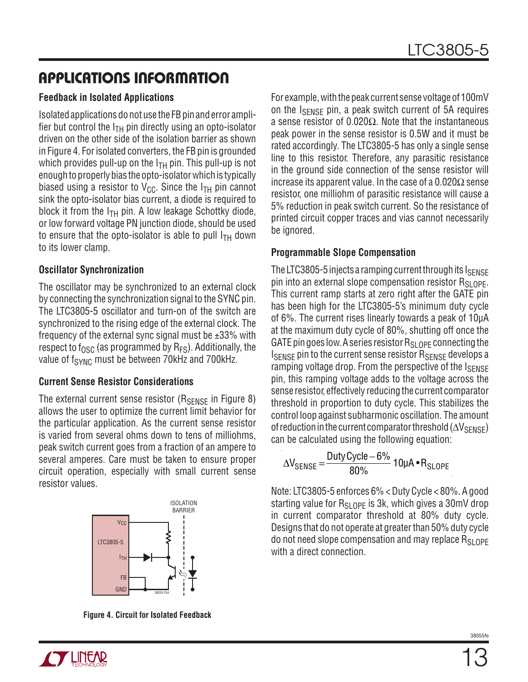#### **Feedback in Isolated Applications**

Isolated applications do not use the FB pin and error amplifier but control the  $I<sub>TH</sub>$  pin directly using an opto-isolator driven on the other side of the isolation barrier as shown in Figure 4. For isolated converters, the FB pin is grounded which provides pull-up on the  $I<sub>TH</sub>$  pin. This pull-up is not enough to properly bias the opto-isolator which is typically biased using a resistor to  $V_{CC}$ . Since the  $I_{TH}$  pin cannot sink the opto-isolator bias current, a diode is required to block it from the  $I<sub>TH</sub>$  pin. A low leakage Schottky diode, or low forward voltage PN junction diode, should be used to ensure that the opto-isolator is able to pull  $I<sub>TH</sub>$  down to its lower clamp.

#### **Oscillator Synchronization**

The oscillator may be synchronized to an external clock by connecting the synchronization signal to the SYNC pin. The LTC3805-5 oscillator and turn-on of the switch are synchronized to the rising edge of the external clock. The frequency of the external sync signal must be  $\pm 33\%$  with respect to  $f_{\rm OSC}$  (as programmed by  $R_{FS}$ ). Additionally, the value of  $f_{\text{SYNC}}$  must be between 70kHz and 700kHz.

#### **Current Sense Resistor Considerations**

The external current sense resistor ( $R_{\text{SENSE}}$  in Figure 8) allows the user to optimize the current limit behavior for the particular application. As the current sense resistor is varied from several ohms down to tens of milliohms, peak switch current goes from a fraction of an ampere to several amperes. Care must be taken to ensure proper circuit operation, especially with small current sense resistor values.



**Figure 4. Circuit for Isolated Feedback**

For example, with the peak current sense voltage of 100mV on the ISENSE pin, a peak switch current of 5A requires a sense resistor of 0.020 $\Omega$ . Note that the instantaneous peak power in the sense resistor is 0.5W and it must be rated accordingly. The LTC3805-5 has only a single sense line to this resistor. Therefore, any parasitic resistance in the ground side connection of the sense resistor will increase its apparent value. In the case of a  $0.020\Omega$  sense resistor, one milliohm of parasitic resistance will cause a 5% reduction in peak switch current. So the resistance of printed circuit copper traces and vias cannot necessarily be ignored.

#### **Programmable Slope Compensation**

The LTC3805-5 injects a ramping current through its  $I_{\text{SENSF}}$ pin into an external slope compensation resistor  $R_{SI,OPF}$ . This current ramp starts at zero right after the GATE pin has been high for the LTC3805-5's minimum duty cycle of 6%. The current rises linearly towards a peak of 10µA at the maximum duty cycle of 80%, shutting off once the GATE pin goes low. A series resistor  $R_{SI,OPF}$  connecting the I<sub>SENSE</sub> pin to the current sense resistor R<sub>SENSE</sub> develops a ramping voltage drop. From the perspective of the  $I_{\text{SENSE}}$ pin, this ramping voltage adds to the voltage across the sense resistor, effectively reducing the current comparator threshold in proportion to duty cycle. This stabilizes the control loop against subharmonic oscillation. The amount of reduction in the current comparator threshold  $(\Delta V_{\text{SEMSE}})$ can be calculated using the following equation:

$$
\Delta V_{\text{SENSE}} = \frac{\text{Duty Cycle} - 6\%}{80\%} 10 \mu \text{A} \cdot \text{R}_{\text{SLOPE}}
$$

Note: LTC3805-5 enforces 6% < Duty Cycle < 80%. A good starting value for  $R_{SI,OPF}$  is 3k, which gives a 30mV drop in current comparator threshold at 80% duty cycle. Designs that do not operate at greater than 50% duty cycle do not need slope compensation and may replace  $R_{SI,OPF}$ with a direct connection.

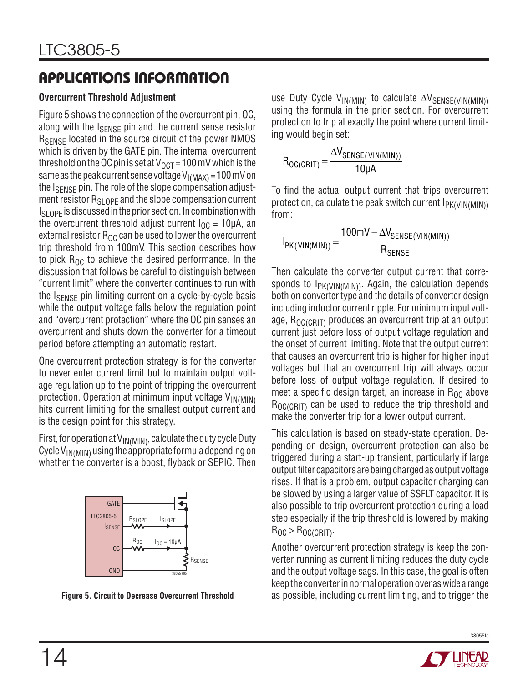#### **Overcurrent Threshold Adjustment**

Figure 5 shows the connection of the overcurrent pin, OC, along with the I<sub>SENSE</sub> pin and the current sense resistor R<sub>SENSE</sub> located in the source circuit of the power NMOS which is driven by the GATE pin. The internal overcurrent threshold on the OC pin is set at  $V_{OCT}$  = 100 mV which is the same as the peak current sense voltage  $V_{I(MAX)} = 100$  mV on the  $I_{\text{SENSE}}$  pin. The role of the slope compensation adjustment resistor  $R_{SI,OPF}$  and the slope compensation current  $I_{SI, OPF}$  is discussed in the prior section. In combination with the overcurrent threshold adjust current  $I_{\text{OC}} = 10 \mu A$ , an external resistor  $R_{OC}$  can be used to lower the overcurrent trip threshold from 100mV. This section describes how to pick  $R_{OC}$  to achieve the desired performance. In the discussion that follows be careful to distinguish between "current limit" where the converter continues to run with the I<sub>SENSE</sub> pin limiting current on a cycle-by-cycle basis while the output voltage falls below the regulation point and "overcurrent protection" where the OC pin senses an overcurrent and shuts down the converter for a timeout period before attempting an automatic restart.

One overcurrent protection strategy is for the converter to never enter current limit but to maintain output voltage regulation up to the point of tripping the overcurrent protection. Operation at minimum input voltage  $V_{IN(MIN)}$ hits current limiting for the smallest output current and is the design point for this strategy.

First, for operation at  $V_{IN(MIN)}$ , calculate the duty cycle Duty Cycle  $V_{IN(MIN)}$  using the appropriate formula depending on whether the converter is a boost, flyback or SEPIC. Then



use Duty Cycle V<sub>IN(MIN)</sub> to calculate  $\Delta V_{\text{SENSE(VIN(MIN))}}$ using the formula in the prior section. For overcurrent protection to trip at exactly the point where current limiting would begin set:

$$
R_{OC(CRIT)} = \frac{\Delta V_{SENSE(VIN(MIN))}}{10\mu A}
$$

To find the actual output current that trips overcurrent protection, calculate the peak switch current  $I_{PK(VIN(MIN))}$ from:

$$
I_{PK(VIN(MIN))} = \frac{100mV - \Delta V_{SENSE(VIN(MIN))}}{R_{SENSE}}
$$

Then calculate the converter output current that corresponds to  $I_{PK(VIN(MIN))}$ . Again, the calculation depends both on converter type and the details of converter design including inductor current ripple. For minimum input voltage,  $R_{O C (C R T)}$  produces an overcurrent trip at an output current just before loss of output voltage regulation and the onset of current limiting. Note that the output current that causes an overcurrent trip is higher for higher input voltages but that an overcurrent trip will always occur before loss of output voltage regulation. If desired to meet a specific design target, an increase in  $R_{OC}$  above  $R_{OClCHIT}$  can be used to reduce the trip threshold and make the converter trip for a lower output current.

This calculation is based on steady-state operation. Depending on design, overcurrent protection can also be triggered during a start-up transient, particularly if large output filter capacitors are being charged as output voltage rises. If that is a problem, output capacitor charging can be slowed by using a larger value of SSFLT capacitor. It is also possible to trip overcurrent protection during a load step especially if the trip threshold is lowered by making  $R_{OC}$  >  $R_{OC(CRIT)}$ .

Another overcurrent protection strategy is keep the converter running as current limiting reduces the duty cycle and the output voltage sags. In this case, the goal is often keep the converter in normal operation over as wide a range **Figure 5. Circuit to Decrease Overcurrent Threshold** as possible, including current limiting, and to trigger the



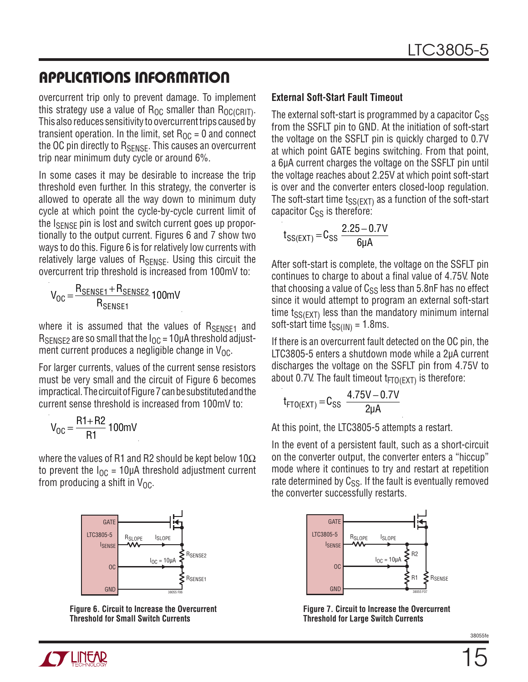overcurrent trip only to prevent damage. To implement this strategy use a value of  $R_{OC}$  smaller than  $R_{OC(CRIT)}$ . This also reduces sensitivity to overcurrent trips caused by transient operation. In the limit, set  $R_{OC} = 0$  and connect the OC pin directly to  $R_{\text{SENSE}}$ . This causes an overcurrent trip near minimum duty cycle or around 6%.

In some cases it may be desirable to increase the trip threshold even further. In this strategy, the converter is allowed to operate all the way down to minimum duty cycle at which point the cycle-by-cycle current limit of the I<sub>SENSE</sub> pin is lost and switch current goes up proportionally to the output current. Figures 6 and 7 show two ways to do this. Figure 6 is for relatively low currents with relatively large values of RSENSE. Using this circuit the overcurrent trip threshold is increased from 100mV to:

 $V_{OC} = \frac{R_{SENSE1} + R_{SENSE2}}{R}$ R<sub>SENSE1</sub> 100mV

where it is assumed that the values of RSENSE1 and  $R_{SENSE2}$  are so small that the  $I_{OC}$  = 10µA threshold adjustment current produces a negligible change in  $V_{OC}$ .

For larger currents, values of the current sense resistors must be very small and the circuit of Figure 6 becomes impractical. The circuit of Figure 7 can be substituted and the current sense threshold is increased from 100mV to:

$$
V_{OC} = \frac{R1 + R2}{R1} 100 mV
$$

where the values of R1 and R2 should be kept below 10 $\Omega$ to prevent the  $I_{OC}$  = 10µA threshold adjustment current from producing a shift in  $V_{OC}$ .



**Figure 6. Circuit to Increase the Overcurrent Threshold for Small Switch Currents**

#### **External Soft-Start Fault Timeout**

The external soft-start is programmed by a capacitor  $C_{SS}$ from the SSFLT pin to GND. At the initiation of soft-start the voltage on the SSFLT pin is quickly charged to 0.7V at which point GATE begins switching. From that point, a 6µA current charges the voltage on the SSFLT pin until the voltage reaches about 2.25V at which point soft-start is over and the converter enters closed-loop regulation. The soft-start time  $t_{SS(FXT)}$  as a function of the soft-start capacitor  $C_{SS}$  is therefore:

$$
t_{SS(EXT)} = C_{SS} \frac{2.25 - 0.7V}{6\mu A}
$$

After soft-start is complete, the voltage on the SSFLT pin continues to charge to about a final value of 4.75V. Note that choosing a value of  $C_{SS}$  less than 5.8nF has no effect since it would attempt to program an external soft-start time  $t_{SS(EXT)}$  less than the mandatory minimum internal soft-start time  $t_{SS(1N)} = 1.8$ ms.

If there is an overcurrent fault detected on the OC pin, the LTC3805-5 enters a shutdown mode while a 2µA current discharges the voltage on the SSFLT pin from 4.75V to about 0.7V. The fault timeout  $t_{FTO(EXT)}$  is therefore:

$$
t_{FTO(EXT)} = C_{SS} \frac{4.75V - 0.7V}{2\mu A}
$$

At this point, the LTC3805-5 attempts a restart.

In the event of a persistent fault, such as a short-circuit on the converter output, the converter enters a "hiccup" mode where it continues to try and restart at repetition rate determined by  $C_{SS}$ . If the fault is eventually removed the converter successfully restarts.



**Figure 7. Circuit to Increase the Overcurrent Threshold for Large Switch Currents**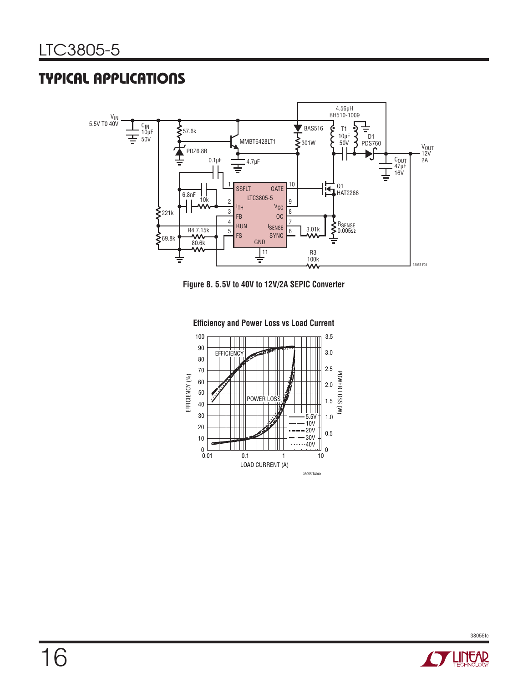## TYPICAL APPLICATIONS



**Figure 8. 5.5V to 40V to 12V/2A SEPIC Converter** 



**Efficiency and Power Loss vs Load Current**

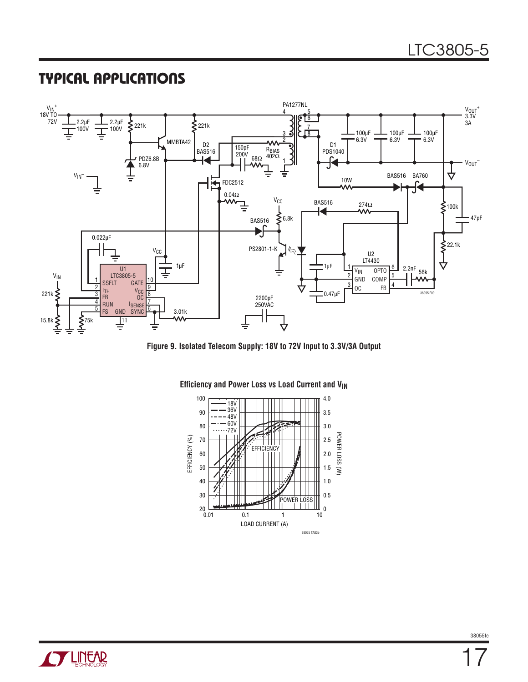### TYPICAL APPLICATIONS







#### **Efficiency and Power Loss vs Load Current and V<sub>IN</sub>**

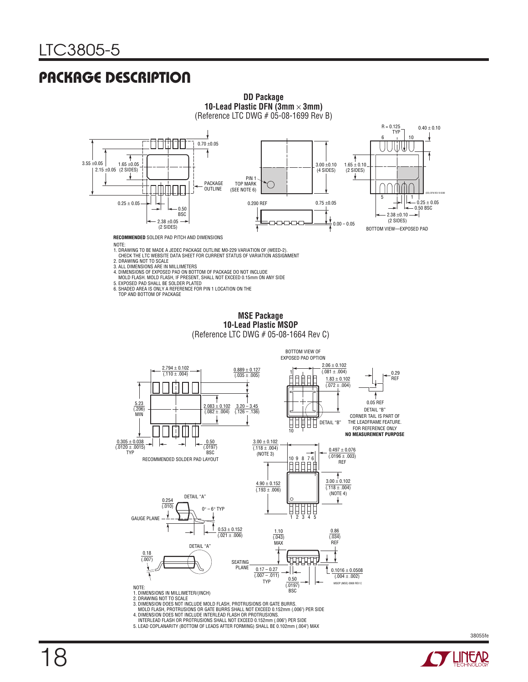## PACKAGE DESCRIPTION



3. DIMENSION DOES NOT INCLUDE MOLD FLASH, PROTRUSIONS OR GATE BURRS.<br>- MOLD FLASH, PROTRUSIONS OR GATE BURRS SHALL NOT EXCEED 0.152mm (.006") PER SIDE<br>4. DIMENSION DOES NOT INCLUDE INTERLEAD FLASH OR PROTRUSIONS.<br>- INTERLE

- 
- 



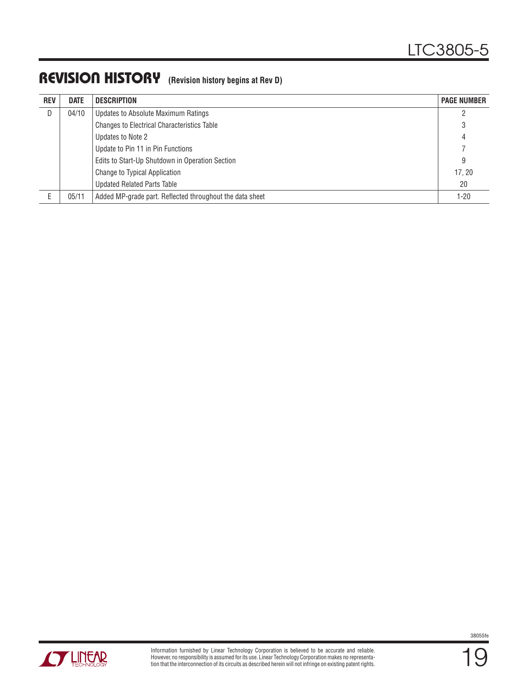### REVISION HISTORY **(Revision history begins at Rev D)**

| <b>REV</b> | <b>DATE</b> | DESCRIPTION                                              | <b>PAGE NUMBER</b> |
|------------|-------------|----------------------------------------------------------|--------------------|
| D          | 04/10       | Updates to Absolute Maximum Ratings                      |                    |
|            |             | <b>Changes to Electrical Characteristics Table</b>       |                    |
|            |             | Updates to Note 2                                        |                    |
|            |             | Update to Pin 11 in Pin Functions                        |                    |
|            |             | Edits to Start-Up Shutdown in Operation Section          | 9                  |
|            |             | Change to Typical Application                            | 17.20              |
|            |             | <b>Updated Related Parts Table</b>                       | 20                 |
|            | 05/11       | Added MP-grade part. Reflected throughout the data sheet | $1 - 20$           |



19